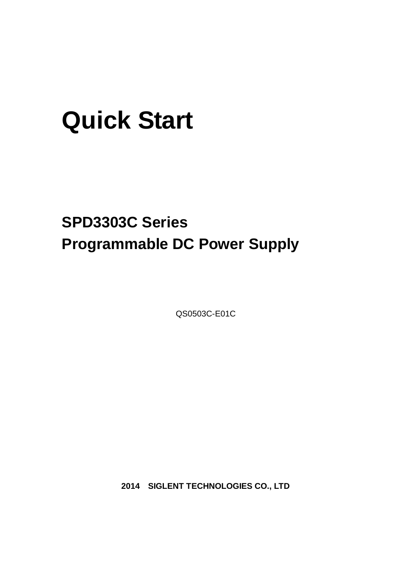# **Quick Start**

# **SPD3303C Series Programmable DC Power Supply**

QS0503C-E01C

**2014 SIGLENT TECHNOLOGIES CO., LTD**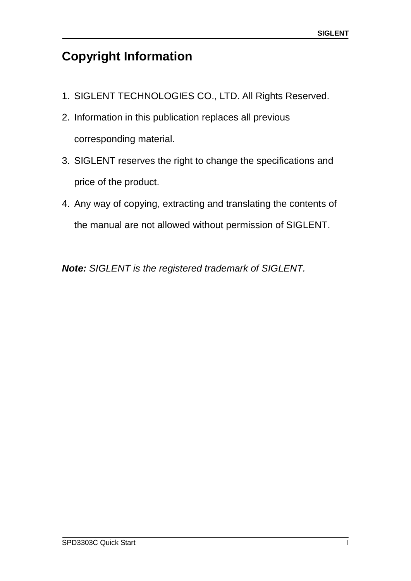# <span id="page-2-0"></span>**Copyright Information**

- 1. SIGLENT TECHNOLOGIES CO., LTD. All Rights Reserved.
- 2. Information in this publication replaces all previous corresponding material.
- 3. SIGLENT reserves the right to change the specifications and price of the product.
- 4. Any way of copying, extracting and translating the contents of the manual are not allowed without permission of SIGLENT.

*Note: SIGLENT is the registered trademark of SIGLENT.*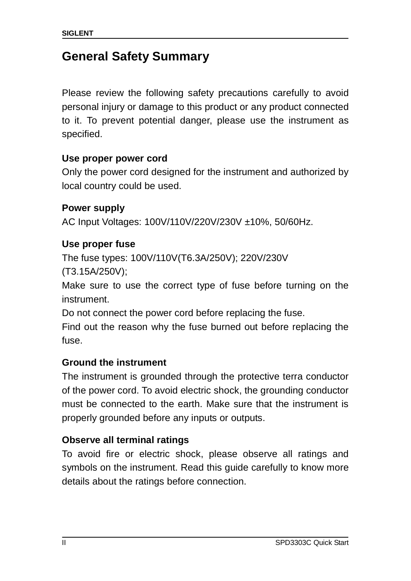# <span id="page-3-0"></span>**General Safety Summary**

Please review the following safety precautions carefully to avoid personal injury or damage to this product or any product connected to it. To prevent potential danger, please use the instrument as specified.

### **Use proper power cord**

Only the power cord designed for the instrument and authorized by local country could be used.

### **Power supply**

AC Input Voltages: 100V/110V/220V/230V ±10%, 50/60Hz.

### **Use proper fuse**

The fuse types: 100V/110V(T6.3A/250V); 220V/230V

(T3.15A/250V);

Make sure to use the correct type of fuse before turning on the instrument.

Do not connect the power cord before replacing the fuse.

Find out the reason why the fuse burned out before replacing the fuse.

### **Ground the instrument**

The instrument is grounded through the protective terra conductor of the power cord. To avoid electric shock, the grounding conductor must be connected to the earth. Make sure that the instrument is properly grounded before any inputs or outputs.

### **Observe all terminal ratings**

To avoid fire or electric shock, please observe all ratings and symbols on the instrument. Read this guide carefully to know more details about the ratings before connection.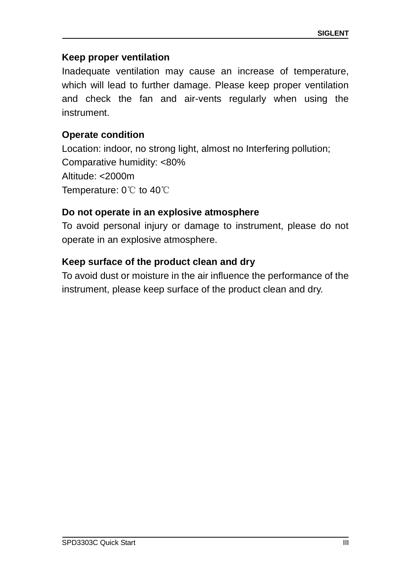#### **Keep proper ventilation**

Inadequate ventilation may cause an increase of temperature, which will lead to further damage. Please keep proper ventilation and check the fan and air-vents regularly when using the instrument.

#### **Operate condition**

Location: indoor, no strong light, almost no Interfering pollution; Comparative humidity: <80% Altitude: <2000m Temperature: 0℃ to 40℃

### **Do not operate in an explosive atmosphere**

To avoid personal injury or damage to instrument, please do not operate in an explosive atmosphere.

#### **Keep surface of the product clean and dry**

To avoid dust or moisture in the air influence the performance of the instrument, please keep surface of the product clean and dry.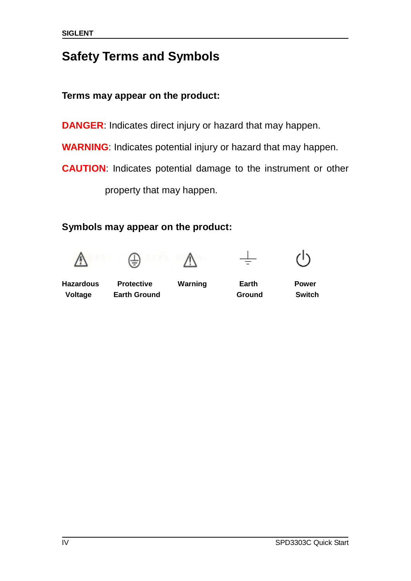# <span id="page-5-0"></span>**Safety Terms and Symbols**

# **Terms may appear on the product:**

**DANGER**: Indicates direct injury or hazard that may happen.

**WARNING**: Indicates potential injury or hazard that may happen.

**CAUTION**: Indicates potential damage to the instrument or other

property that may happen.

# **Symbols may appear on the product:**











**Hazardous Protective Warning Earth Power Voltage Earth Ground Ground Switch**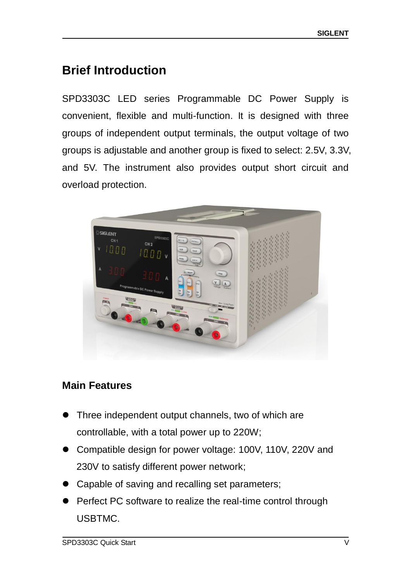# <span id="page-6-0"></span>**Brief Introduction**

SPD3303C LED series Programmable DC Power Supply is convenient, flexible and multi-function. It is designed with three groups of independent output terminals, the output voltage of two groups is adjustable and another group is fixed to select: 2.5V, 3.3V, and 5V. The instrument also provides output short circuit and overload protection.



# **Main Features**

- Three independent output channels, two of which are controllable, with a total power up to 220W;
- Compatible design for power voltage: 100V, 110V, 220V and 230V to satisfy different power network;
- Capable of saving and recalling set parameters;
- Perfect PC software to realize the real-time control through USBTMC.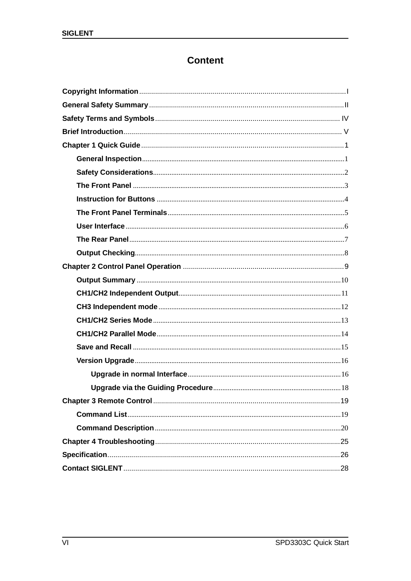# **Content**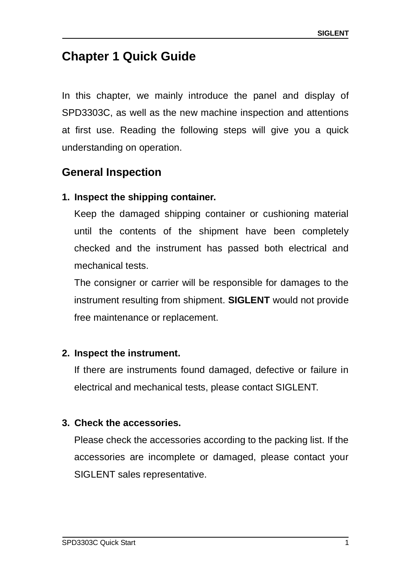# <span id="page-8-0"></span>**Chapter 1 Quick Guide**

In this chapter, we mainly introduce the panel and display of SPD3303C, as well as the new machine inspection and attentions at first use. Reading the following steps will give you a quick understanding on operation.

# <span id="page-8-1"></span>**General Inspection**

# **1. Inspect the shipping container.**

Keep the damaged shipping container or cushioning material until the contents of the shipment have been completely checked and the instrument has passed both electrical and mechanical tests.

The consigner or carrier will be responsible for damages to the instrument resulting from shipment. **SIGLENT** would not provide free maintenance or replacement.

### **2. Inspect the instrument.**

If there are instruments found damaged, defective or failure in electrical and mechanical tests, please contact SIGLENT.

# **3. Check the accessories.**

Please check the accessories according to the packing list. If the accessories are incomplete or damaged, please contact your SIGLENT sales representative.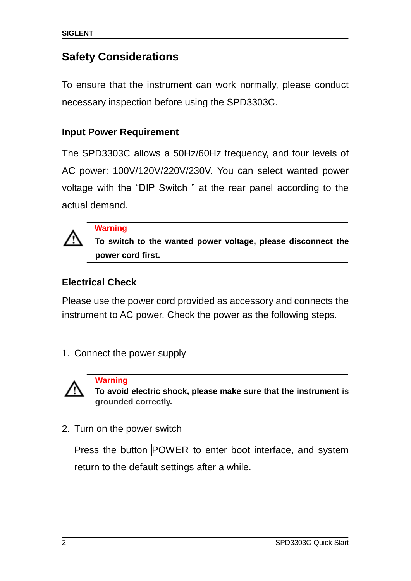# <span id="page-9-0"></span>**Safety Considerations**

To ensure that the instrument can work normally, please conduct necessary inspection before using the SPD3303C.

### **Input Power Requirement**

The SPD3303C allows a 50Hz/60Hz frequency, and four levels of AC power: 100V/120V/220V/230V. You can select wanted power voltage with the "DIP Switch " at the rear panel according to the actual demand.



**Warning**

 **To switch to the wanted power voltage, please disconnect the power cord first.**

# **Electrical Check**

Please use the power cord provided as accessory and connects the instrument to AC power. Check the power as the following steps.

1. Connect the power supply



 **Warning To avoid electric shock, please make sure that the instrument is grounded correctly.**

2. Turn on the power switch

Press the button POWER to enter boot interface, and system return to the default settings after a while.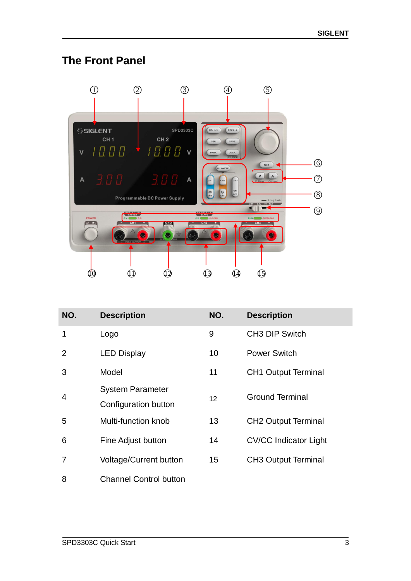# <span id="page-10-0"></span>**The Front Panel**



| NO.            | <b>Description</b>            | NO. | <b>Description</b>           |
|----------------|-------------------------------|-----|------------------------------|
| 1              | Logo                          | 9   | <b>CH3 DIP Switch</b>        |
| $\mathcal{P}$  | <b>LED Display</b>            | 10  | <b>Power Switch</b>          |
| 3              | Model                         | 11  | <b>CH1 Output Terminal</b>   |
| $\overline{4}$ | <b>System Parameter</b>       | 12  | <b>Ground Terminal</b>       |
|                | Configuration button          |     |                              |
| 5              | Multi-function knob           | 13  | <b>CH2 Output Terminal</b>   |
| 6              | Fine Adjust button            | 14  | <b>CV/CC Indicator Light</b> |
| 7              | <b>Voltage/Current button</b> | 15  | <b>CH3 Output Terminal</b>   |
| 8              | <b>Channel Control button</b> |     |                              |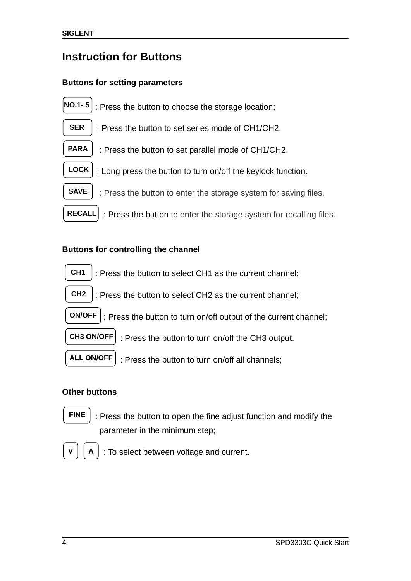# <span id="page-11-0"></span>**Instruction for Buttons**

#### **Buttons for setting parameters**



#### **Buttons for controlling the channel**



: Press the button to select CH2 as the current channel; **CH2**

: Press the button to turn on/off output of the current channel; **ON/OFF**

 : Press the button to turn on/off the CH3 output. **CH3 ON/OFF**

: Press the button to turn on/off all channels; **ALL ON/OFF**

#### **Other buttons**

**FINE**

: Press the button to open the fine adjust function and modify the parameter in the minimum step;



: To select between voltage and current.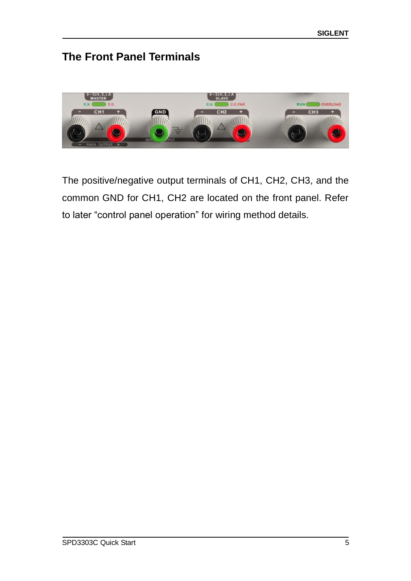# <span id="page-12-0"></span>**The Front Panel Terminals**



The positive/negative output terminals of CH1, CH2, CH3, and the common GND for CH1, CH2 are located on the front panel. Refer to later "control panel operation" for wiring method details.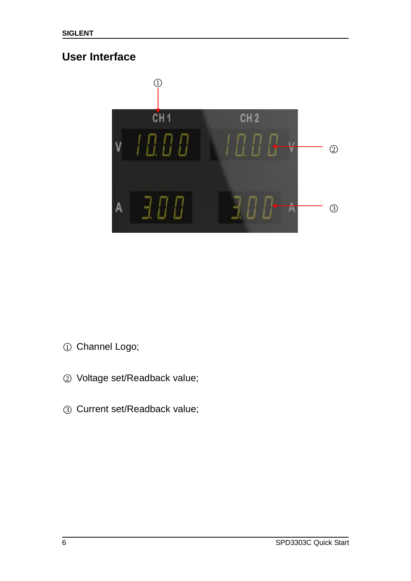# <span id="page-13-0"></span>**User Interface**



- ○<sup>1</sup> Channel Logo;
- ○<sup>2</sup> Voltage set/Readback value;
- ○<sup>3</sup> Current set/Readback value;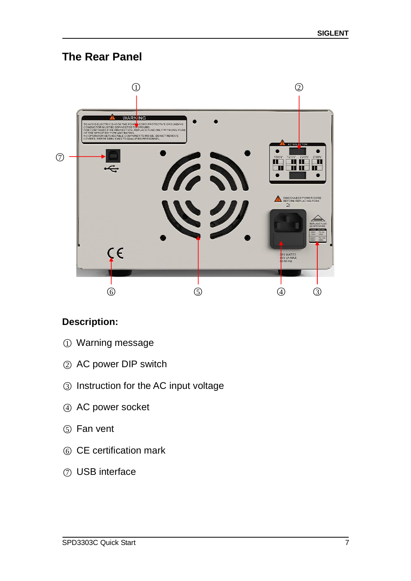# <span id="page-14-0"></span>**The Rear Panel**



# **Description:**

- ○<sup>1</sup> Warning message
- ○<sup>2</sup> AC power DIP switch
- ○<sup>3</sup> Instruction for the AC input voltage
- 4 AC power socket
- ○<sup>5</sup> Fan vent
- ○<sup>6</sup> CE certification mark
- ○<sup>7</sup> USB interface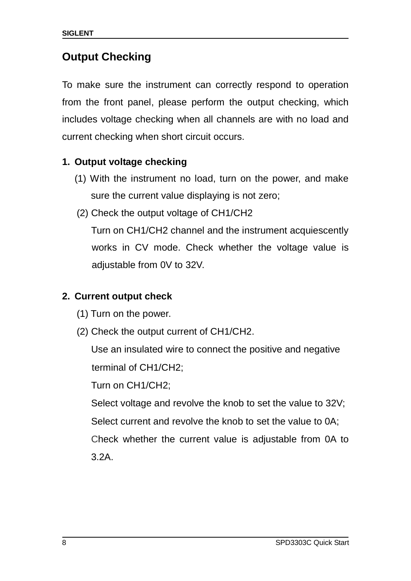# <span id="page-15-0"></span>**Output Checking**

To make sure the instrument can correctly respond to operation from the front panel, please perform the output checking, which includes voltage checking when all channels are with no load and current checking when short circuit occurs.

# **1. Output voltage checking**

- (1) With the instrument no load, turn on the power, and make sure the current value displaying is not zero;
- (2) Check the output voltage of CH1/CH2

Turn on CH1/CH2 channel and the instrument acquiescently works in CV mode. Check whether the voltage value is adjustable from 0V to 32V.

# **2. Current output check**

- (1) Turn on the power.
- (2) Check the output current of CH1/CH2.

Use an insulated wire to connect the positive and negative terminal of CH1/CH2;

Turn on CH1/CH2;

Select voltage and revolve the knob to set the value to 32V; Select current and revolve the knob to set the value to 0A; Check whether the current value is adjustable from 0A to 3.2A.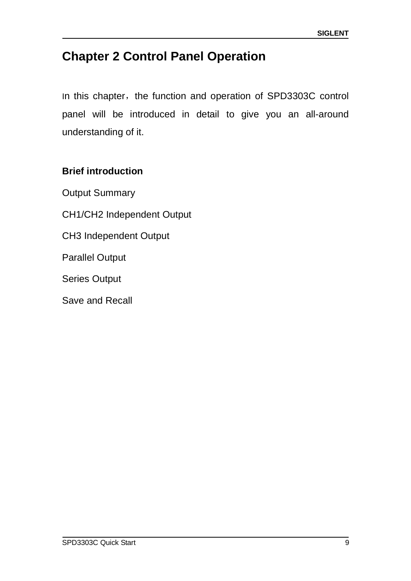# <span id="page-16-0"></span>**Chapter 2 Control Panel Operation**

In this chapter, the function and operation of SPD3303C control panel will be introduced in detail to give you an all-around understanding of it.

# **Brief introduction**

Output Summary CH1/CH2 Independent Output CH3 Independent Output Parallel Output Series Output Save and Recall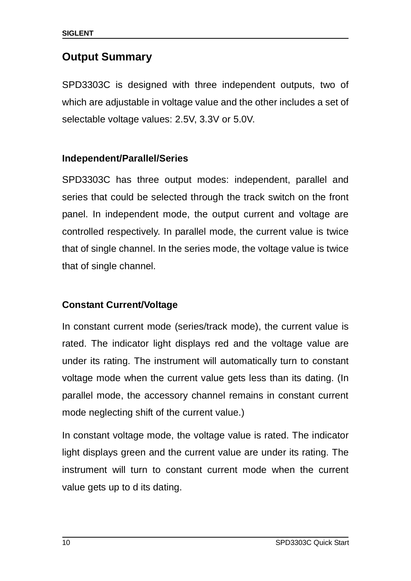# <span id="page-17-0"></span>**Output Summary**

SPD3303C is designed with three independent outputs, two of which are adjustable in voltage value and the other includes a set of selectable voltage values: 2.5V, 3.3V or 5.0V.

# **Independent/Parallel/Series**

SPD3303C has three output modes: independent, parallel and series that could be selected through the track switch on the front panel. In independent mode, the output current and voltage are controlled respectively. In parallel mode, the current value is twice that of single channel. In the series mode, the voltage value is twice that of single channel.

# **Constant Current/Voltage**

In constant current mode (series/track mode), the current value is rated. The indicator light displays red and the voltage value are under its rating. The instrument will automatically turn to constant voltage mode when the current value gets less than its dating. (In parallel mode, the accessory channel remains in constant current mode neglecting shift of the current value.)

In constant voltage mode, the voltage value is rated. The indicator light displays green and the current value are under its rating. The instrument will turn to constant current mode when the current value gets up to d its dating.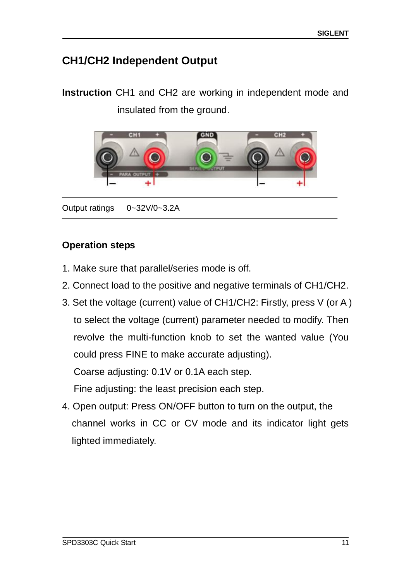# <span id="page-18-0"></span>**CH1/CH2 Independent Output**

**Instruction** CH1 and CH2 are working in independent mode and insulated from the ground.



Output ratings 0~32V/0~3.2A

### **Operation steps**

- 1. Make sure that parallel/series mode is off.
- 2. Connect load to the positive and negative terminals of CH1/CH2.
- 3. Set the voltage (current) value of CH1/CH2: Firstly, press V (or A ) to select the voltage (current) parameter needed to modify. Then revolve the multi-function knob to set the wanted value (You could press FINE to make accurate adjusting). Coarse adjusting: 0.1V or 0.1A each step.

Fine adjusting: the least precision each step.

4. Open output: Press ON/OFF button to turn on the output, the channel works in CC or CV mode and its indicator light gets lighted immediately.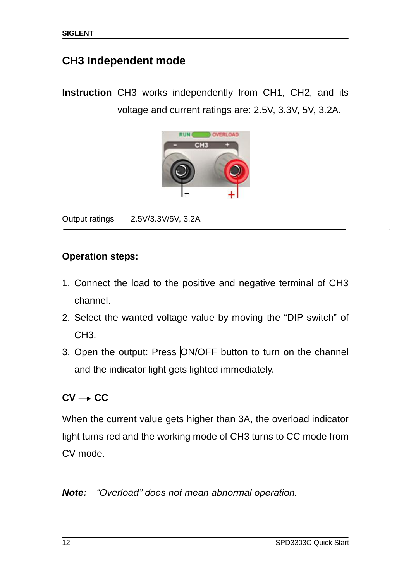# <span id="page-19-0"></span>**CH3 Independent mode**

**Instruction** CH3 works independently from CH1, CH2, and its voltage and current ratings are: 2.5V, 3.3V, 5V, 3.2A.



Output ratings 2.5V/3.3V/5V, 3.2A

#### **Operation steps:**

 $\ddot{\phantom{0}}$ 

- 1. Connect the load to the positive and negative terminal of CH3 channel.
- 2. Select the wanted voltage value by moving the "DIP switch" of CH<sub>3</sub>
- 3. Open the output: Press ON/OFF button to turn on the channel and the indicator light gets lighted immediately.

# $CV \rightarrow CC$

When the current value gets higher than 3A, the overload indicator light turns red and the working mode of CH3 turns to CC mode from CV mode.

*Note: "Overload" does not mean abnormal operation.*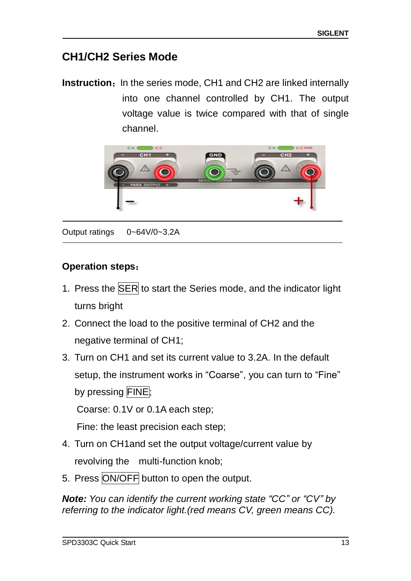# <span id="page-20-0"></span>**CH1/CH2 Series Mode**

**Instruction:** In the series mode, CH1 and CH2 are linked internally into one channel controlled by CH1. The output voltage value is twice compared with that of single channel.



Output ratings 0~64V/0~3.2A

# **Operation steps**:

- 1. Press the **SER** to start the Series mode, and the indicator light turns bright
- 2. Connect the load to the positive terminal of CH2 and the negative terminal of CH1;
- 3. Turn on CH1 and set its current value to 3.2A. In the default setup, the instrument works in "Coarse", you can turn to "Fine" by pressing FINE:

Coarse: 0.1V or 0.1A each step;

Fine: the least precision each step;

- 4. Turn on CH1and set the output voltage/current value by revolving the multi-function knob;
- 5. Press ON/OFF button to open the output.

*Note: You can identify the current working state "CC" or "CV" by referring to the indicator light.(red means CV, green means CC).*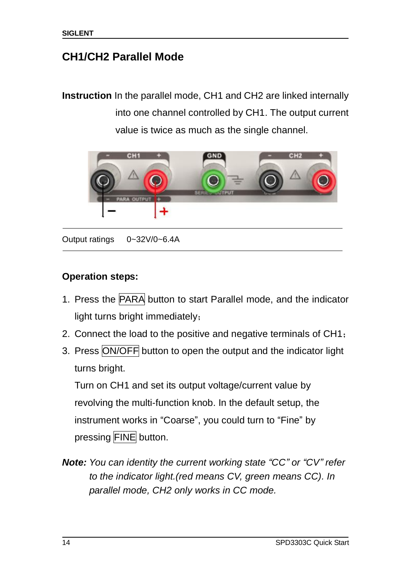# <span id="page-21-0"></span>**CH1/CH2 Parallel Mode**

**Instruction** In the parallel mode, CH1 and CH2 are linked internally into one channel controlled by CH1. The output current value is twice as much as the single channel.



Output ratings 0~32V/0~6.4A

### **Operation steps:**

- 1. Press the PARA button to start Parallel mode, and the indicator light turns bright immediately;
- 2. Connect the load to the positive and negative terminals of CH1;
- 3. Press ON/OFF button to open the output and the indicator light turns bright.

Turn on CH1 and set its output voltage/current value by revolving the multi-function knob. In the default setup, the instrument works in "Coarse", you could turn to "Fine" by pressing FINE button.

*Note: You can identity the current working state "CC" or "CV" refer to the indicator light.(red means CV, green means CC). In parallel mode, CH2 only works in CC mode.*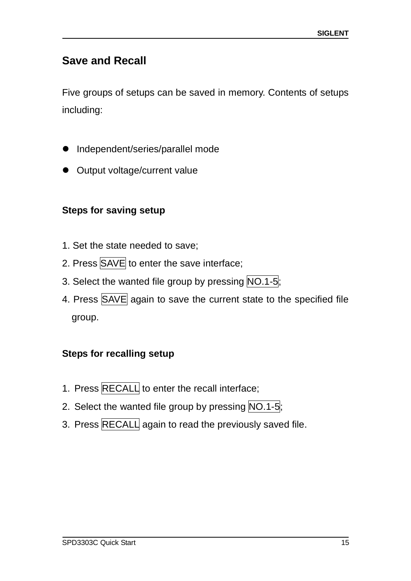# <span id="page-22-0"></span>**Save and Recall**

Five groups of setups can be saved in memory. Contents of setups including:

- Independent/series/parallel mode
- **Output voltage/current value**

# **Steps for saving setup**

- 1. Set the state needed to save;
- 2. Press SAVE to enter the save interface;
- 3. Select the wanted file group by pressing NO.1-5;
- 4. Press SAVE again to save the current state to the specified file group.

# **Steps for recalling setup**

- 1. Press RECALL to enter the recall interface;
- 2. Select the wanted file group by pressing NO.1-5;
- 3. Press RECALL again to read the previously saved file.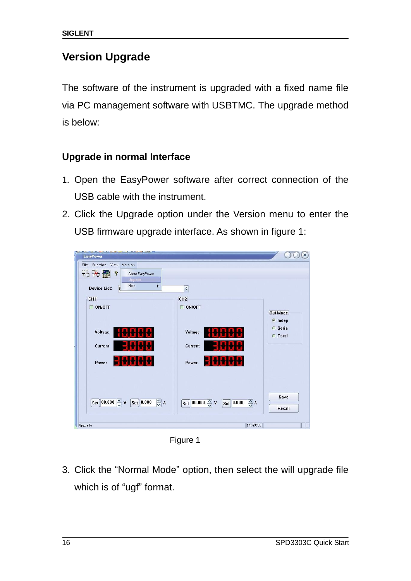# <span id="page-23-0"></span>**Version Upgrade**

The software of the instrument is upgraded with a fixed name file via PC management software with USBTMC. The upgrade method is below:

# <span id="page-23-1"></span>**Upgrade in normal Interface**

- 1. Open the EasyPower software after correct connection of the USB cable with the instrument.
- 2. Click the Upgrade option under the Version menu to enter the USB firmware upgrade interface. As shown in figure 1:

| <b>EasyPower</b>                                                                                                               |                                                                                                        | $\times$                            |
|--------------------------------------------------------------------------------------------------------------------------------|--------------------------------------------------------------------------------------------------------|-------------------------------------|
| Function View<br>File<br>Version<br>出来品<br>$\mathbf{v}$<br>About EasyPower<br>Upgrade<br>Help<br>٠<br><b>Device List:</b><br>s | ¢                                                                                                      |                                     |
| CH1                                                                                                                            | CH <sub>2</sub>                                                                                        |                                     |
| $\Gamma$ ON/OFF                                                                                                                | $\Box$ ON/OFF                                                                                          | <b>Out Mode</b><br>$\epsilon$ Indep |
| Voltage                                                                                                                        | Voltage                                                                                                | <b>C</b> Seria<br><b>Paral</b>      |
| Current                                                                                                                        | Current                                                                                                |                                     |
| Power                                                                                                                          | Power                                                                                                  |                                     |
|                                                                                                                                |                                                                                                        |                                     |
| Set 00.000 $\frac{1}{\sim}$ v<br>$\frac{\lambda}{\sqrt{2}}$ A<br>$\left[\mathrm{Set}\right]$ 0.000                             | $\boxed{\text{Set}}$ 00.000 $\left \frac{\text{A}}{\text{B}}\right $ V<br>$\frac{1}{2}$ A<br>Set 0.000 | Save<br>Recall                      |
| Upgrade                                                                                                                        | 17:43:50                                                                                               |                                     |

Figure 1

3. Click the "Normal Mode" option, then select the will upgrade file which is of "ugf" format.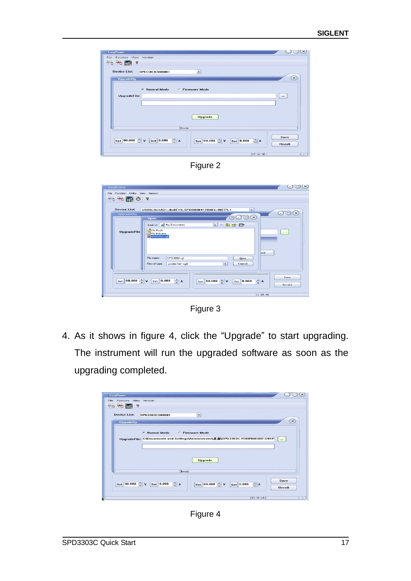|                             | Version              |                        |                      |             |                 |          |
|-----------------------------|----------------------|------------------------|----------------------|-------------|-----------------|----------|
| 75 26 品<br>$^\circledR$     |                      |                        |                      |             |                 |          |
| Device List:                | SPD3303C000001       |                        | $\circ$              |             |                 |          |
| UpgradeDlg                  |                      |                        |                      |             |                 | $\times$ |
|                             |                      |                        |                      |             |                 |          |
|                             | <b>C</b> Normal Mode | <b>C</b> Firmware Mode |                      |             |                 |          |
| UpgradeFile:                |                      |                        |                      |             |                 | $\cdots$ |
|                             |                      |                        |                      |             |                 |          |
|                             |                      |                        |                      |             |                 |          |
|                             |                      |                        |                      |             |                 |          |
|                             |                      |                        |                      |             |                 |          |
|                             |                      |                        | <b>Upgrade</b>       |             |                 |          |
|                             |                      |                        |                      |             |                 |          |
|                             |                      | Ready                  |                      |             |                 |          |
|                             |                      |                        |                      |             |                 | Save     |
| Set 00.000 $\binom{6}{2}$ V | Set 0.000            | $\frac{1}{2}$ A        | Set 00.000 $\circ$ v | [Set] 0.000 | $\frac{1}{2}$ A | Recall   |



| File Function Utility View Version<br>品 米 嗣 (の)<br>Device List: | <b>?</b><br>USB0::0x1AB1::0x0E10::SPD00004120003::INSTR.1<br>۰                                           |                                |
|-----------------------------------------------------------------|----------------------------------------------------------------------------------------------------------|--------------------------------|
| UpgradeDlg                                                      |                                                                                                          | $(\times)$<br>$\bigcirc$<br>ر_ |
|                                                                 | $\circ \odot \odot \times$<br>Open                                                                       |                                |
|                                                                 | Look in: My Documents<br>$\circ$<br>白づ田<br>$\leftarrow$                                                  |                                |
| UpgradeFile                                                     | My Music                                                                                                 | $\sim$ $\sim$ $\sim$           |
|                                                                 | My Pictures<br>E SPD3000.ugf                                                                             |                                |
|                                                                 |                                                                                                          |                                |
|                                                                 |                                                                                                          |                                |
|                                                                 | ce1                                                                                                      |                                |
|                                                                 | SPD 3000.uqf<br>File name:<br>Open                                                                       |                                |
|                                                                 | Cancel<br>Files of type:<br>update file(".ugf)<br>$\circ$                                                |                                |
|                                                                 | - 18                                                                                                     |                                |
|                                                                 |                                                                                                          |                                |
|                                                                 | $S_{\text{et}}$ 0.000                                                                                    | Save                           |
| $S_{\text{et}}$ 00.000 $\frac{A}{V}$ V                          | $\frac{\lambda}{\mathbf{v}}$ A<br>증 A<br>$S_{\text{et}}$ 00.000 $\rightarrow$ V<br>$S_{\text{et}}$ 0.000 | Recall                         |
|                                                                 |                                                                                                          |                                |
|                                                                 |                                                                                                          |                                |

Figure 3

4. As it shows in figure 4, click the "Upgrade" to start upgrading. The instrument will run the upgraded software as soon as the upgrading completed.

| $\times$<br>EasyPower<br>Function View Version<br>File:                                                                                                                         |
|---------------------------------------------------------------------------------------------------------------------------------------------------------------------------------|
| 书关前?<br>Device List:<br>$\bullet$<br>SPD3303C000001                                                                                                                             |
| $\propto$<br><b>UpgradeDlg</b><br><b>6</b> Normal Mode<br><b>C</b> Firmware Mode<br>UpgradeFile: C:\Documents and Settings\Administrator\桌面\SPD3303CV100R001B01D01P<br>$\cdots$ |
| <b>Upgrade</b><br>Ready                                                                                                                                                         |
| Save<br>$\frac{\lambda}{\omega}$ A<br>Set 00.000 $\leftarrow \mathsf{v}$<br>$ \texttt{Set} $ 0.000<br>Set 00.000 $\sim$ v<br>$\frac{1}{2}$ A<br>Set 0.000<br>Recall             |
| 17:49:44                                                                                                                                                                        |

Figure 4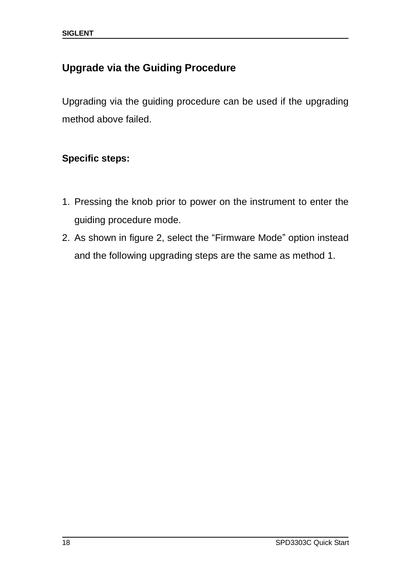# <span id="page-25-0"></span>**Upgrade via the Guiding Procedure**

Upgrading via the guiding procedure can be used if the upgrading method above failed.

# **Specific steps:**

- 1. Pressing the knob prior to power on the instrument to enter the guiding procedure mode.
- 2. As shown in figure 2, select the "Firmware Mode" option instead and the following upgrading steps are the same as method 1.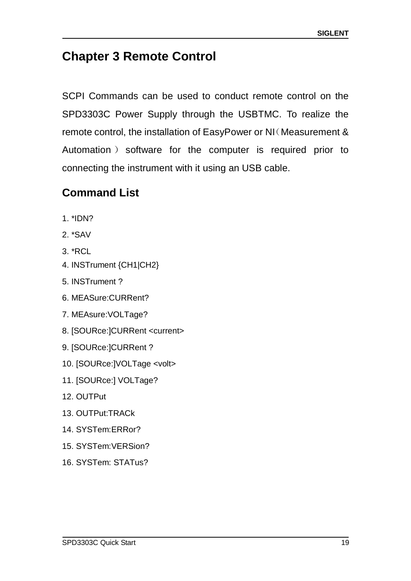# <span id="page-26-0"></span>**Chapter 3 Remote Control**

SCPI Commands can be used to conduct remote control on the SPD3303C Power Supply through the USBTMC. To realize the remote control, the installation of EasyPower or NI(Measurement & Automation ) software for the computer is required prior to connecting the instrument with it using an USB cable.

# <span id="page-26-1"></span>**Command List**

- 1. \*IDN?
- 2. \*SAV
- 3. \*RCL
- 4. INSTrument {CH1|CH2}
- 5. INSTrument ?
- 6. MEASure:CURRent?
- 7. MEAsure:VOLTage?
- 8. [SOURce:]CURRent <current>
- 9. [SOURce:]CURRent ?
- 10. [SOURce:]VOLTage <volt>
- 11. [SOURce:] VOLTage?
- 12. OUTPut
- 13. OUTPut:TRACk
- 14. SYSTem:ERRor?
- 15. SYSTem:VERSion?
- 16. SYSTem: STATus?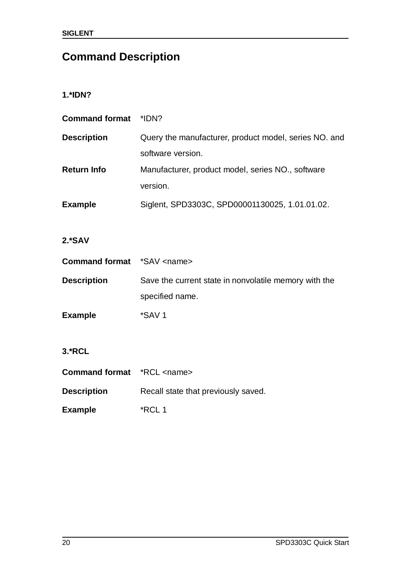# <span id="page-27-0"></span>**Command Description**

#### **1.\*IDN?**

| <b>Command format</b> | *IDN?                                                 |
|-----------------------|-------------------------------------------------------|
| <b>Description</b>    | Query the manufacturer, product model, series NO. and |
|                       | software version.                                     |
| <b>Return Info</b>    | Manufacturer, product model, series NO., software     |
|                       | version.                                              |
| <b>Example</b>        | Siglent, SPD3303C, SPD00001130025, 1.01.01.02.        |

# **2.\*SAV**

| <b>Command format</b> *SAV <name></name> |                                                       |
|------------------------------------------|-------------------------------------------------------|
| <b>Description</b>                       | Save the current state in nonvolatile memory with the |
|                                          | specified name.                                       |
| <b>Example</b>                           | *SAV 1                                                |

#### **3.\*RCL**

| <b>Command format</b> *RCL <name></name> |                                     |
|------------------------------------------|-------------------------------------|
| <b>Description</b>                       | Recall state that previously saved. |
| <b>Example</b>                           | *RCL 1                              |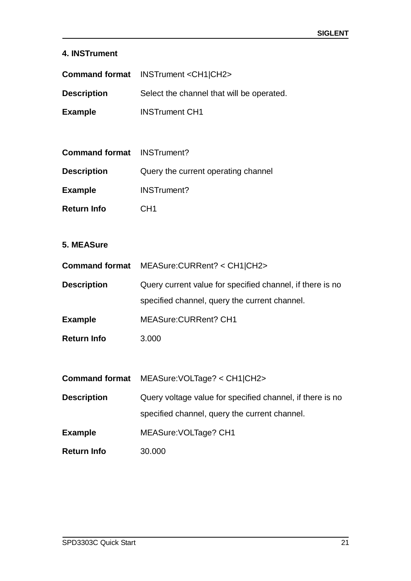#### **4. INSTrument**

|                                   | Command format INSTrument <ch1 ch2></ch1 ch2>             |
|-----------------------------------|-----------------------------------------------------------|
| <b>Description</b>                | Select the channel that will be operated.                 |
| <b>Example</b>                    | <b>INSTrument CH1</b>                                     |
|                                   |                                                           |
| <b>Command format</b> INSTrument? |                                                           |
| <b>Description</b>                | Query the current operating channel                       |
| <b>Example</b>                    | <b>INSTrument?</b>                                        |
| <b>Return Info</b>                | CH <sub>1</sub>                                           |
|                                   |                                                           |
| 5. MEASure                        |                                                           |
|                                   | Command format MEASure: CURRent? < CH1 CH2>               |
| <b>Description</b>                | Query current value for specified channel, if there is no |
|                                   | specified channel, query the current channel.             |
| <b>Example</b>                    | <b>MEASure:CURRent? CH1</b>                               |
| <b>Return Info</b>                | 3.000                                                     |
|                                   |                                                           |
|                                   | Command format MEASure: VOLTage? < CH1 CH2>               |
| <b>Description</b>                | Query voltage value for specified channel, if there is no |
|                                   | specified channel, query the current channel.             |
| <b>Example</b>                    | MEASure: VOLTage? CH1                                     |
| <b>Return Info</b>                | 30.000                                                    |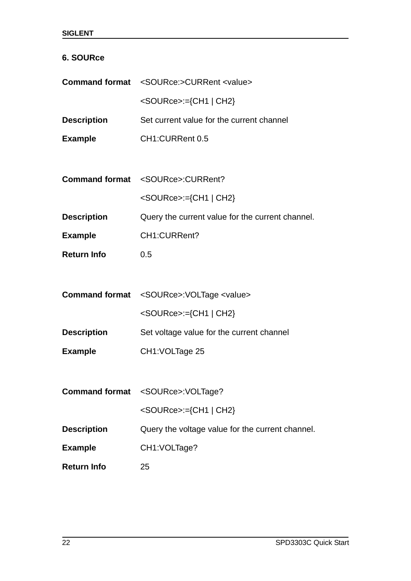#### **6. SOURce**

|                    | <b>Command format</b> <source:>CURRent <value></value></source:> |
|--------------------|------------------------------------------------------------------|
|                    | <source/> :={CH1   CH2}                                          |
| <b>Description</b> | Set current value for the current channel                        |
| <b>Example</b>     | CH1:CURRent 0.5                                                  |
|                    |                                                                  |
|                    | Command format <source/> :CURRent?                               |
|                    | <source/> :={CH1   CH2}                                          |
| <b>Description</b> | Query the current value for the current channel.                 |
| <b>Example</b>     | CH1:CURRent?                                                     |
| <b>Return Info</b> | 0.5                                                              |
|                    |                                                                  |
|                    | Command format <source/> :VOLTage <value></value>                |
|                    | <source/> :={CH1   CH2}                                          |
| <b>Description</b> | Set voltage value for the current channel                        |
| <b>Example</b>     | CH1: VOLTage 25                                                  |
|                    |                                                                  |
|                    | Command format <source/> :VOLTage?                               |
|                    | <source/> :={CH1   CH2}                                          |
| <b>Description</b> | Query the voltage value for the current channel.                 |
| <b>Example</b>     | CH1:VOLTage?                                                     |
| <b>Return Info</b> | 25                                                               |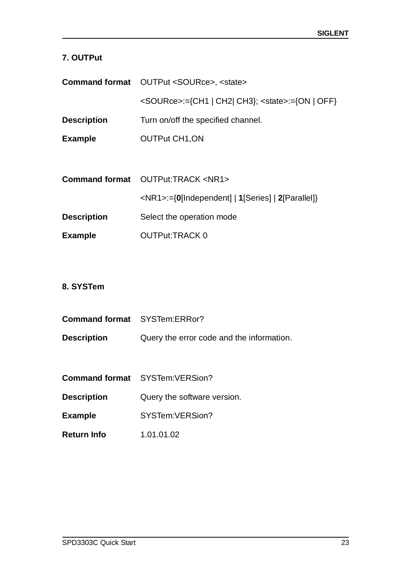### **7. OUTPut**

|                    | <b>Command format</b> OUTPut <source/> , <state></state>  |
|--------------------|-----------------------------------------------------------|
|                    | <source/> :={CH1   CH2  CH3}; <state>:={ON   OFF}</state> |
| <b>Description</b> | Turn on/off the specified channel.                        |
| <b>Example</b>     | <b>OUTPut CH1, ON</b>                                     |
|                    |                                                           |
|                    | <b>Command format</b> OUTPut:TRACK <nr1></nr1>            |
|                    | <nr1>:={0[Independent]   1[Series]   2[Parallel]}</nr1>   |

| <b>Description</b> | Select the operation mode |
|--------------------|---------------------------|
|                    |                           |

#### **8. SYSTem**

| <b>Command format</b> SYSTem:ERRor? |                                           |
|-------------------------------------|-------------------------------------------|
| <b>Description</b>                  | Query the error code and the information. |

| <b>Command format</b> | SYSTem: VERSion? |
|-----------------------|------------------|
|                       |                  |

**Description Query the software version.** 

- **Example** SYSTem:VERSion?
- **Return Info** 1.01.01.02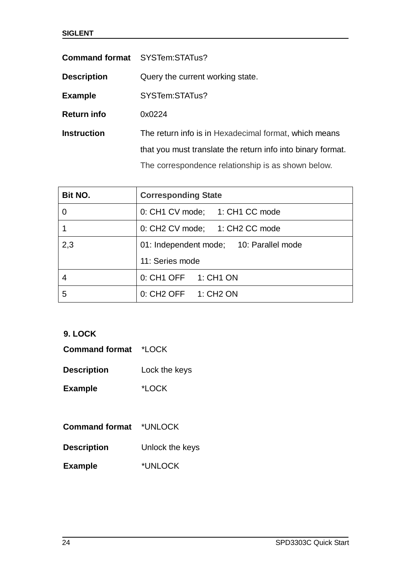|                    | <b>Command format</b> SYSTem:STATus?                        |  |
|--------------------|-------------------------------------------------------------|--|
| <b>Description</b> | Query the current working state.                            |  |
| <b>Example</b>     | SYSTem:STATus?                                              |  |
| <b>Return info</b> | 0x0224                                                      |  |
| <b>Instruction</b> | The return info is in Hexadecimal format, which means       |  |
|                    | that you must translate the return info into binary format. |  |
|                    | The correspondence relationship is as shown below.          |  |

| <b>Bit NO.</b> | <b>Corresponding State</b>              |  |
|----------------|-----------------------------------------|--|
|                | 0: CH1 CV mode; 1: CH1 CC mode          |  |
|                | 0: CH2 CV mode; 1: CH2 CC mode          |  |
| 2,3            | 01: Independent mode; 10: Parallel mode |  |
|                | 11: Series mode                         |  |
|                | 0: CH1 OFF 1: CH1 ON                    |  |
| 5              | 0: CH2 OFF 1: CH2 ON                    |  |

#### **9. LOCK**

| <b>Command format</b> | *LOCK |
|-----------------------|-------|
|-----------------------|-------|

| <b>Description</b> | Lock the keys |
|--------------------|---------------|
|--------------------|---------------|

**Example** \*LOCK

| <b>Command format</b> | *UNLOCK |
|-----------------------|---------|
|-----------------------|---------|

### **Example** \*UNLOCK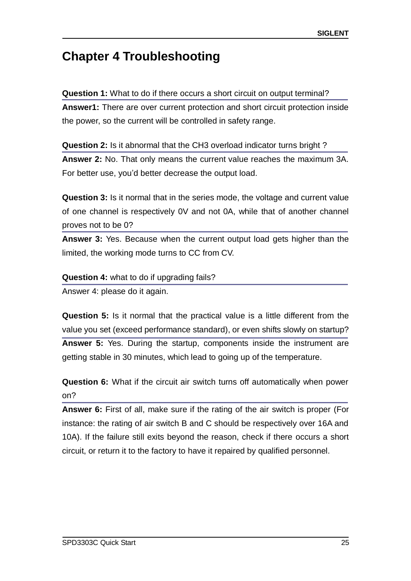# <span id="page-32-0"></span>**Chapter 4 Troubleshooting**

#### **Question 1:** What to do if there occurs a short circuit on output terminal?

**Answer1:** There are over current protection and short circuit protection inside the power, so the current will be controlled in safety range.

#### **Question 2:** Is it abnormal that the CH3 overload indicator turns bright ?

**Answer 2:** No. That only means the current value reaches the maximum 3A. For better use, you'd better decrease the output load.

**Question 3:** Is it normal that in the series mode, the voltage and current value of one channel is respectively 0V and not 0A, while that of another channel proves not to be 0?

**Answer 3:** Yes. Because when the current output load gets higher than the limited, the working mode turns to CC from CV.

#### **Question 4:** what to do if upgrading fails?

Answer 4: please do it again.

**Question 5:** Is it normal that the practical value is a little different from the value you set (exceed performance standard), or even shifts slowly on startup? **Answer 5:** Yes. During the startup, components inside the instrument are getting stable in 30 minutes, which lead to going up of the temperature.

**Question 6:** What if the circuit air switch turns off automatically when power on?

**Answer 6:** First of all, make sure if the rating of the air switch is proper (For instance: the rating of air switch B and C should be respectively over 16A and 10A). If the failure still exits beyond the reason, check if there occurs a short circuit, or return it to the factory to have it repaired by qualified personnel.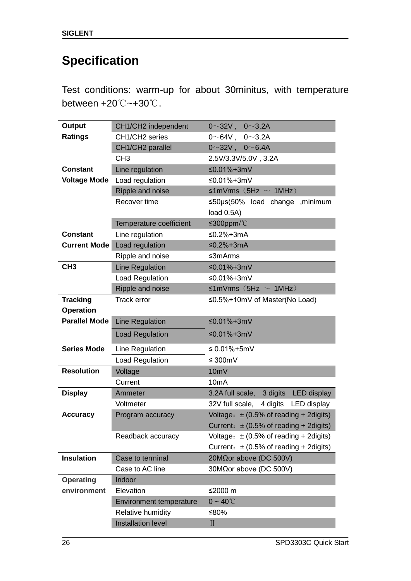# <span id="page-33-0"></span>**Specification**

Test conditions: warm-up for about 30minitus, with temperature between +20℃~+30℃.

| <b>Output</b>        | CH1/CH2 independent            | $0 \sim 32V$ , $0 \sim 3.2A$               |
|----------------------|--------------------------------|--------------------------------------------|
| <b>Ratings</b>       | CH1/CH2 series                 | $0 \sim 64V$ , $0 \sim 3.2A$               |
|                      | CH1/CH2 parallel               | $0~32V$ , $0~6.4A$                         |
|                      | CH <sub>3</sub>                | 2.5V/3.3V/5.0V, 3.2A                       |
| <b>Constant</b>      | Line regulation                | ≤0.01%+3mV                                 |
| <b>Voltage Mode</b>  | Load regulation                | ≤0.01%+3mV                                 |
|                      | Ripple and noise               | $\leq 1$ mVrms (5Hz $\sim 1$ MHz)          |
|                      | Recover time                   | $\leq$ 50µs(50% load change , minimum      |
|                      |                                | load 0.5A)                                 |
|                      | Temperature coefficient        | ≤300ppm/ $°C$                              |
| <b>Constant</b>      | Line regulation                | ≤0.2%+3mA                                  |
| <b>Current Mode</b>  | Load regulation                | $≤0.2%+3mA$                                |
|                      | Ripple and noise               | ≤3mArms                                    |
| CH <sub>3</sub>      | Line Regulation                | ≤0.01%+3mV                                 |
|                      | Load Regulation                | ≤0.01%+3mV                                 |
|                      | Ripple and noise               | $\leq 1$ mVrms (5Hz $\sim 1$ MHz)          |
| <b>Tracking</b>      | Track error                    | ≤0.5%+10mV of Master(No Load)              |
| <b>Operation</b>     |                                |                                            |
| <b>Parallel Mode</b> | Line Regulation                | ≤0.01%+3mV                                 |
|                      | <b>Load Regulation</b>         | ≤0.01%+3mV                                 |
| <b>Series Mode</b>   | Line Regulation                | ≤ $0.01% + 5mV$                            |
|                      | Load Regulation                | ≤ 300m $V$                                 |
| <b>Resolution</b>    | Voltage                        | 10mV                                       |
|                      | Current                        | 10 <sub>m</sub> A                          |
| <b>Display</b>       | Ammeter                        | 3.2A full scale,<br>3 digits LED display   |
|                      | Voltmeter                      | 4 digits LED display<br>32V full scale,    |
| <b>Accuracy</b>      | Program accuracy               | Voltage: $\pm$ (0.5% of reading + 2digits) |
|                      |                                | Current: $\pm$ (0.5% of reading + 2digits) |
|                      | Readback accuracy              | Voltage: $\pm$ (0.5% of reading + 2digits) |
|                      |                                | Current: $\pm$ (0.5% of reading + 2digits) |
| <b>Insulation</b>    | Case to terminal               | 20M $\Omega$ or above (DC 500V)            |
|                      | Case to AC line                | 30MΩor above (DC 500V)                     |
| <b>Operating</b>     | Indoor                         |                                            |
| environment          | Elevation                      | ≤2000 m                                    |
|                      | <b>Environment temperature</b> | $0 - 40^{\circ}$ C                         |
|                      | Relative humidity              | ≤80%                                       |
|                      | <b>Installation level</b>      | $\prod$                                    |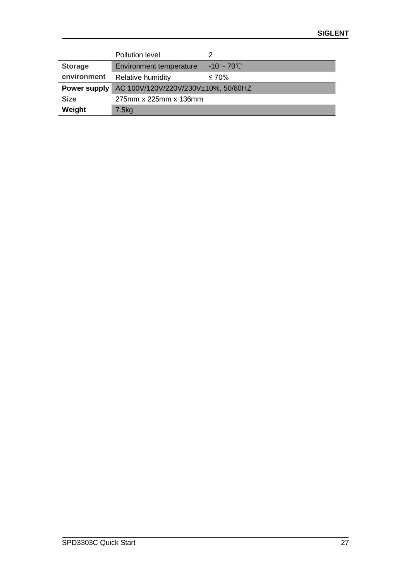|                | Pollution level                     |                         |
|----------------|-------------------------------------|-------------------------|
| <b>Storage</b> | Environment temperature             | $-10 \sim 70^{\circ}$ C |
| environment    | Relative humidity                   | ≤ 70%                   |
| Power supply   | AC 100V/120V/220V/230V±10%, 50/60HZ |                         |
| <b>Size</b>    | 275mm x 225mm x 136mm               |                         |
| Weight         | 7.5kg                               |                         |